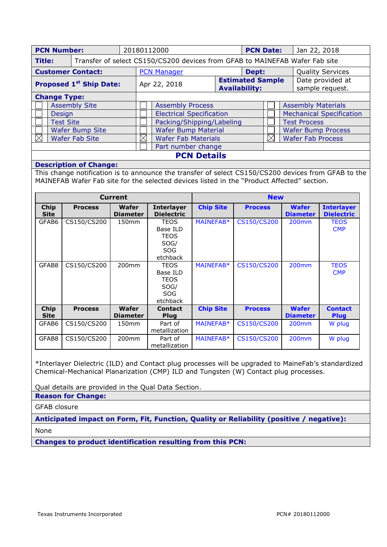| <b>PCN Number:</b>             |  | 20180112000                     |                                                                             | <b>PCN Date:</b>   |                                                 |                           | Jan 22, 2018                    |                                     |  |  |
|--------------------------------|--|---------------------------------|-----------------------------------------------------------------------------|--------------------|-------------------------------------------------|---------------------------|---------------------------------|-------------------------------------|--|--|
| Title:                         |  |                                 | Transfer of select CS150/CS200 devices from GFAB to MAINEFAB Wafer Fab site |                    |                                                 |                           |                                 |                                     |  |  |
| <b>Customer Contact:</b>       |  |                                 | <b>PCN Manager</b>                                                          |                    | Dept:                                           |                           |                                 | <b>Quality Services</b>             |  |  |
| <b>Proposed 1st Ship Date:</b> |  |                                 | Apr 22, 2018                                                                |                    | <b>Estimated Sample</b><br><b>Availability:</b> |                           |                                 | Date provided at<br>sample request. |  |  |
| <b>Change Type:</b>            |  |                                 |                                                                             |                    |                                                 |                           |                                 |                                     |  |  |
| <b>Assembly Site</b>           |  | <b>Assembly Process</b>         |                                                                             |                    |                                                 | <b>Assembly Materials</b> |                                 |                                     |  |  |
| <b>Design</b>                  |  | <b>Electrical Specification</b> |                                                                             |                    |                                                 |                           | <b>Mechanical Specification</b> |                                     |  |  |
| <b>Test Site</b>               |  | Packing/Shipping/Labeling       |                                                                             |                    |                                                 |                           | <b>Test Process</b>             |                                     |  |  |
| Wafer Bump Site                |  |                                 | <b>Wafer Bump Material</b>                                                  |                    |                                                 |                           |                                 | <b>Wafer Bump Process</b>           |  |  |
| <b>Wafer Fab Site</b>          |  | ⋉<br><b>Wafer Fab Materials</b> |                                                                             |                    | $\bowtie$                                       |                           | <b>Wafer Fab Process</b>        |                                     |  |  |
|                                |  |                                 |                                                                             | Part number change |                                                 |                           |                                 |                                     |  |  |

# **PCN Details**

## **Description of Change:**

This change notification is to announce the transfer of select CS150/CS200 devices from GFAB to the MAINEFAB Wafer Fab site for the selected devices listed in the "Product Affected" section.

|                     |                | <b>Current</b>           |                                                                          | <b>New</b>       |                |                                 |                                        |
|---------------------|----------------|--------------------------|--------------------------------------------------------------------------|------------------|----------------|---------------------------------|----------------------------------------|
| Chip<br><b>Site</b> | <b>Process</b> | Wafer<br><b>Diameter</b> | <b>Interlayer</b><br><b>Dielectric</b>                                   | <b>Chip Site</b> | <b>Process</b> | <b>Wafer</b><br><b>Diameter</b> | <b>Interlayer</b><br><b>Dielectric</b> |
| GFAB6               | CS150/CS200    | 150 <sub>mm</sub>        | <b>TEOS</b><br>Base ILD<br><b>TEOS</b><br>SOG/<br><b>SOG</b><br>etchback | MAINEFAB*        | CS150/CS200    | 200 <sub>mm</sub>               | <b>TEOS</b><br><b>CMP</b>              |
| GFAB8               | CS150/CS200    | 200 <sub>mm</sub>        | <b>TEOS</b><br>Base ILD<br><b>TEOS</b><br>SOG/<br><b>SOG</b><br>etchback | MAINEFAB*        | CS150/CS200    | 200 <sub>mm</sub>               | <b>TEOS</b><br><b>CMP</b>              |
| Chip<br><b>Site</b> | <b>Process</b> | Wafer<br><b>Diameter</b> | <b>Contact</b><br><b>Plug</b>                                            | <b>Chip Site</b> | <b>Process</b> | <b>Wafer</b><br><b>Diameter</b> | <b>Contact</b><br><b>Plug</b>          |
| GFAB6               | CS150/CS200    | 150 <sub>mm</sub>        | Part of<br>metallization                                                 | MAINEFAB*        | CS150/CS200    | 200 <sub>mm</sub>               | W plug                                 |
| GFAB8               | CS150/CS200    | 200 <sub>mm</sub>        | Part of<br>metallization                                                 | MAINEFAB*        | CS150/CS200    | 200 <sub>mm</sub>               | W plug                                 |

\*Interlayer Dielectric (ILD) and Contact plug processes will be upgraded to MaineFab's standardized Chemical-Mechanical Planarization (CMP) ILD and Tungsten (W) Contact plug processes.

Qual details are provided in the Qual Data Section.

**Reason for Change:**

GFAB closure

**Anticipated impact on Form, Fit, Function, Quality or Reliability (positive / negative):** None

**Changes to product identification resulting from this PCN:**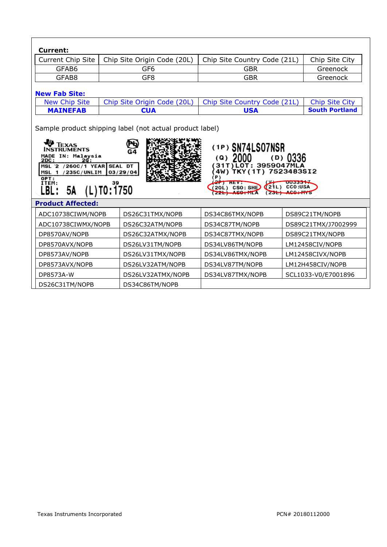| Current:          |                             |                              |                |  |
|-------------------|-----------------------------|------------------------------|----------------|--|
| Current Chip Site | Chip Site Origin Code (20L) | Chip Site Country Code (21L) | Chip Site City |  |
| GFAB6             | GF6                         | GBR                          | Greenock       |  |
| GFAB8             | GF8                         | GBR                          | Greenock       |  |

# **New Fab Site:**

| New Chin Site |     | Chip Site Origin Code (20L)   Chip Site Country Code (21L)   Chip Site City |                       |
|---------------|-----|-----------------------------------------------------------------------------|-----------------------|
| MAINFFAR      | CUA | <b>USA</b>                                                                  | <b>South Portland</b> |

Sample product shipping label (not actual product label)

| <b>O</b> TEXAS<br>(1P) SN74LS07NSR<br>INSTRUMENTS<br>G4<br>IN: Malaysia<br><b>MADE</b><br>0336<br>(Q)<br>(D)<br><b>2DC:</b><br>2σ:<br>31T)LOT: 3959047MLA<br>/260C/1 YEAR SEAL DT<br>MSL 2<br>7523483SI2<br>4W)<br><b>235C/UNLIM</b><br>03/29/04<br>MSL.<br>$'$ P)<br>OPT:<br>ITEM:<br><b>UU333511</b><br>39<br><b>CCO:USA</b><br>CSO: SHE<br>5А<br>L)T0:1750<br>LBL :<br><b>Product Affected:</b> |                  |                  |                     |  |
|----------------------------------------------------------------------------------------------------------------------------------------------------------------------------------------------------------------------------------------------------------------------------------------------------------------------------------------------------------------------------------------------------|------------------|------------------|---------------------|--|
| ADC10738CIWM/NOPB                                                                                                                                                                                                                                                                                                                                                                                  | DS26C31TMX/NOPB  | DS34C86TMX/NOPB  | DS89C21TM/NOPB      |  |
| ADC10738CIWMX/NOPB                                                                                                                                                                                                                                                                                                                                                                                 | DS26C32ATM/NOPB  | DS34C87TM/NOPB   | DS89C21TMX/J7002999 |  |
| DP8570AV/NOPB                                                                                                                                                                                                                                                                                                                                                                                      | DS26C32ATMX/NOPB | DS34C87TMX/NOPB  | DS89C21TMX/NOPB     |  |
| DP8570AVX/NOPB                                                                                                                                                                                                                                                                                                                                                                                     | DS26LV31TM/NOPB  | DS34LV86TM/NOPB  | LM12458CIV/NOPB     |  |
| DP8573AV/NOPB                                                                                                                                                                                                                                                                                                                                                                                      | DS26LV31TMX/NOPB | DS34LV86TMX/NOPB | LM12458CIVX/NOPB    |  |
| DP8573AVX/NOPB                                                                                                                                                                                                                                                                                                                                                                                     | DS26LV32ATM/NOPB | DS34LV87TM/NOPB  | LM12H458CIV/NOPB    |  |
| DP8573A-W<br>DS26LV32ATMX/NOPB                                                                                                                                                                                                                                                                                                                                                                     |                  | DS34LV87TMX/NOPB | SCL1033-V0/E7001896 |  |
| DS26C31TM/NOPB<br>DS34C86TM/NOPB                                                                                                                                                                                                                                                                                                                                                                   |                  |                  |                     |  |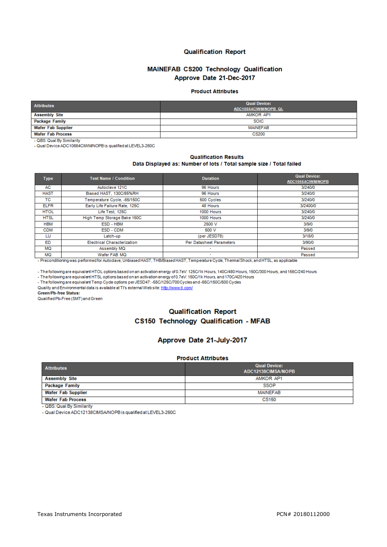### **Qualification Report**

### MAINEFAB CS200 Technology Qualification Approve Date 21-Dec-2017

#### **Product Attributes**

| <b>Attributes</b>         | <b>Qual Device:</b>  |
|---------------------------|----------------------|
|                           | ADC10664CIWM/NOPB QL |
| <b>Assembly Site</b>      | AMKOR AP1            |
| Package Family            | <b>SOIC</b>          |
| <b>Wafer Fab Supplier</b> | MAINEFAB             |
| <b>Wafer Fab Process</b>  | <b>CS200</b>         |

- QBS: Qual By Similarity

- Qual Device ADC10664CMWNOPB is qualified at LEVEL3-260C

#### **Qualification Results** Data Displayed as: Number of lots / Total sample size / Total failed

| <b>Type</b> | <b>Test Name / Condition</b>       | <b>Duration</b>          | <b>Qual Device:</b><br>ADC10664CIWM/NOPB |
|-------------|------------------------------------|--------------------------|------------------------------------------|
| AC          | Autoclave 121C                     | 96 Hours                 | 3/240/0                                  |
| <b>HAST</b> | Biased HAST, 130C/85%RH            | 96 Hours                 | 3/240/0                                  |
| ТC          | Temperature Cycle, -65/150C        | 500 Cycles               | 3/240/0                                  |
| <b>ELFR</b> | Early Life Failure Rate, 125C      | 48 Hours                 | 3/2400/0                                 |
| <b>HTOL</b> | Life Test, 125C                    | 1000 Hours               | 3/240/0                                  |
| <b>HTSL</b> | High Temp Storage Bake 150C        | 1000 Hours               | 3/240/0                                  |
| <b>HBM</b>  | ESD - HBM                          | 2500 V                   | 3/9/0                                    |
| <b>CDM</b>  | ESD - CDM                          | 500 V                    | 3/9/0                                    |
| LU          | Latch-up                           | (per JESD78)             | 3/18/0                                   |
| <b>ED</b>   | <b>Electrical Characterization</b> | Per Datasheet Parameters | 3/90/0                                   |
| MQ          | Assembly MQ                        | ۰                        | Passed                                   |
| <b>MQ</b>   | Wafer FAB MQ                       | $\overline{\phantom{a}}$ | Passed                                   |

- Preconditioning was performed for Autoclave, Unbiased HAST, THB/Biased HAST, Temperature Cycle, Thermal Shock, and HTSL, as applicable

- The following are equivalent HTOL options based on an activation energy of 0.7eV: 125C/1k Hours, 140C/480 Hours, 150C/300 Hours, and 155C/240 Hours

- The following are equivalent HTSL options based on an activation energy of 0.7eV: 150C/1k Hours, and 170C/420 Hours

- The following are equivalent Temp Cycle options per JESD47: -55C/125C/700 Cycles and -65C/150C/500 Cycles

Quality and Environmental data is available at TI's external Web site: http://www.ti.com/

Green/Pb-free Status:

Qualified Pb-Free (SMT) and Green

# **Qualification Report** CS150 Technology Qualification - MFAB

### Approve Date 21-July-2017

#### **Product Attributes**

| <b>Attributes</b>        | <b>Qual Device:</b><br>ADC12138CIMSA/NOPB |
|--------------------------|-------------------------------------------|
| <b>Assembly Site</b>     | AMKOR AP1                                 |
| Package Family           | <b>SSOP</b>                               |
| Wafer Fab Supplier       | MAINEFAB                                  |
| <b>Wafer Fab Process</b> | CS150                                     |

- QBS: Qual By Similarity

- Qual Device ADC12138CIMSA/NOPB is qualified at LEVEL3-260C